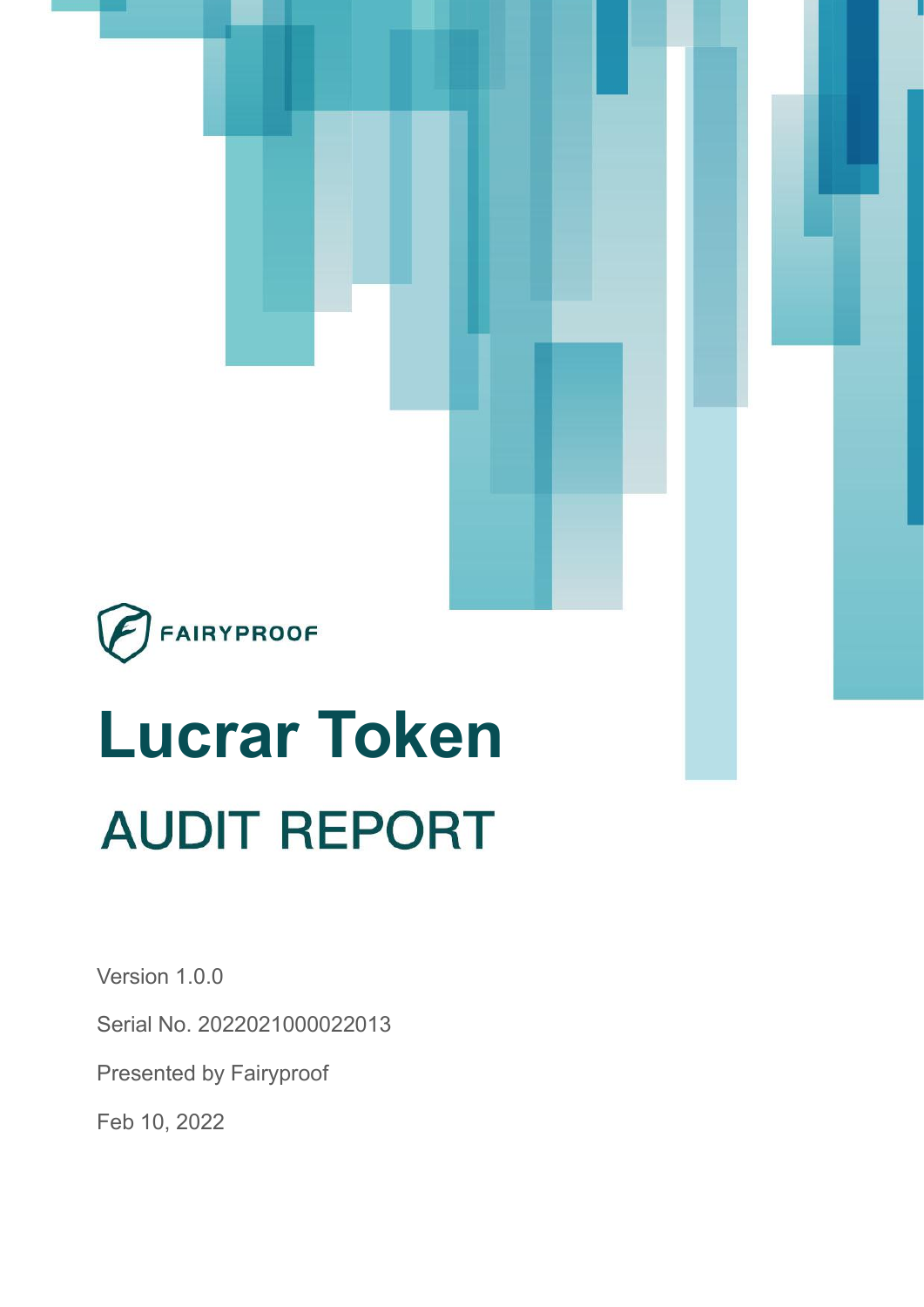

# **Lucrar Token AUDIT REPORT**

Version 1.0.0

Serial No. 2022021000022013

Presented by Fairyproof

Feb 10, 2022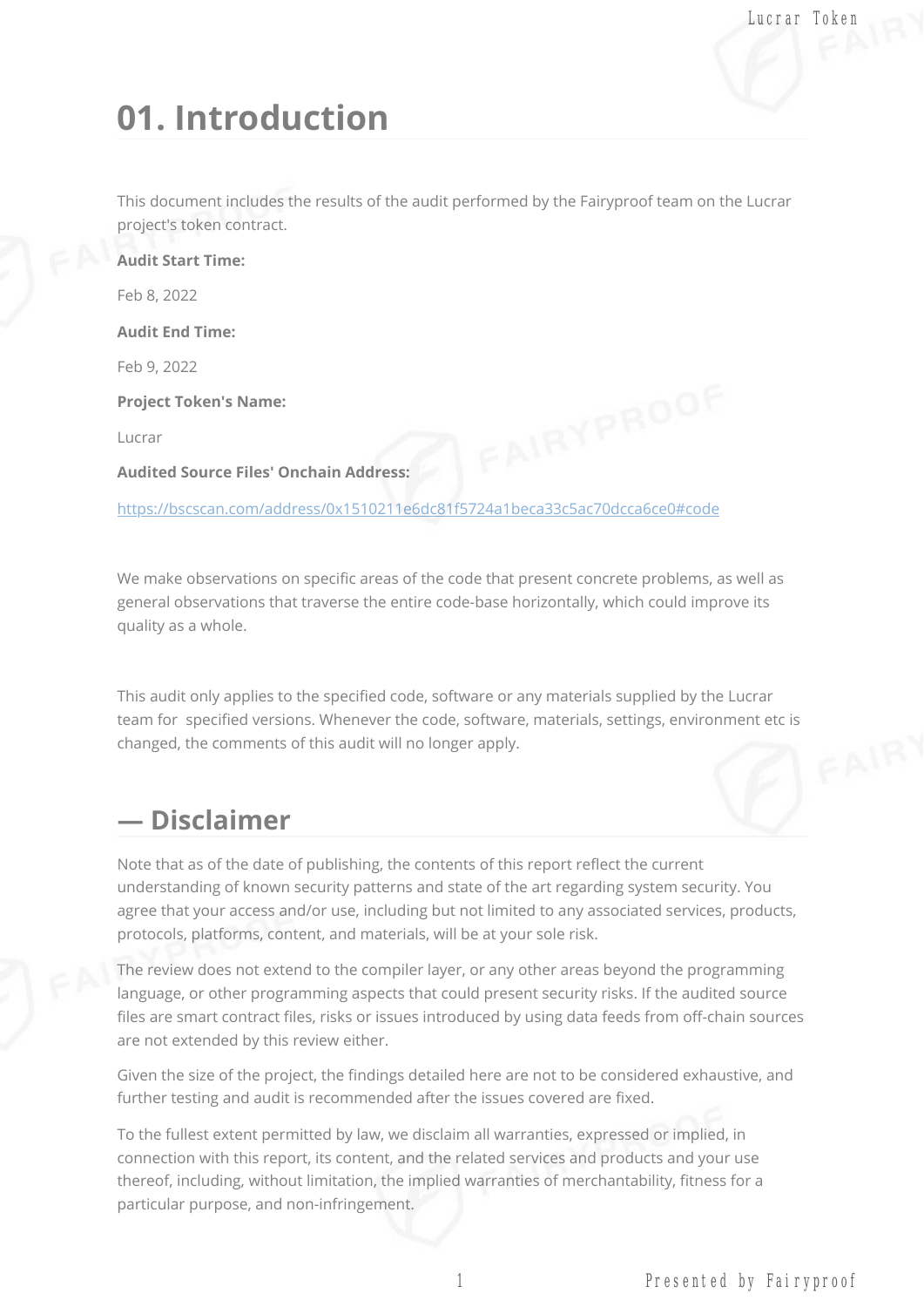# **01. Introduction**

This document includes the results of the audit performed by the Fairyproof team on the Lucrar project's token contract.

**Audit Start Time:** Feb 8, 2022 **Audit End Time:** Feb 9, 2022 **Project Token's Name:** Lucrar **Audited Source Files' Onchain Address:**

<https://bscscan.com/address/0x1510211e6dc81f5724a1beca33c5ac70dcca6ce0#code>

We make observations on specific areas of the code that present concrete problems, as well as general observations that traverse the entire code-base horizontally, which could improve its quality as a whole.

This audit only applies to the specified code, software or any materials supplied by the Lucrar team for specified versions. Whenever the code, software, materials, settings, environment etc is changed, the comments of this audit will no longer apply.

#### **— Disclaimer**

Note that as of the date of publishing, the contents of this report reflect the current understanding of known security patterns and state of the art regarding system security. You agree that your access and/or use, including but not limited to any associated services, products, protocols, platforms, content, and materials, will be at your sole risk.

The review does not extend to the compiler layer, or any other areas beyond the programming language, or other programming aspects that could present security risks. If the audited source files are smart contract files, risks or issues introduced by using data feeds from off-chain sources are not extended by this review either.

Given the size of the project, the findings detailed here are not to be considered exhaustive, and further testing and audit is recommended after the issues covered are fixed.

To the fullest extent permitted by law, we disclaim all warranties, expressed or implied, in connection with this report, its content, and the related services and products and your use thereof, including, without limitation, the implied warranties of merchantability, fitness for a particular purpose, and non-infringement.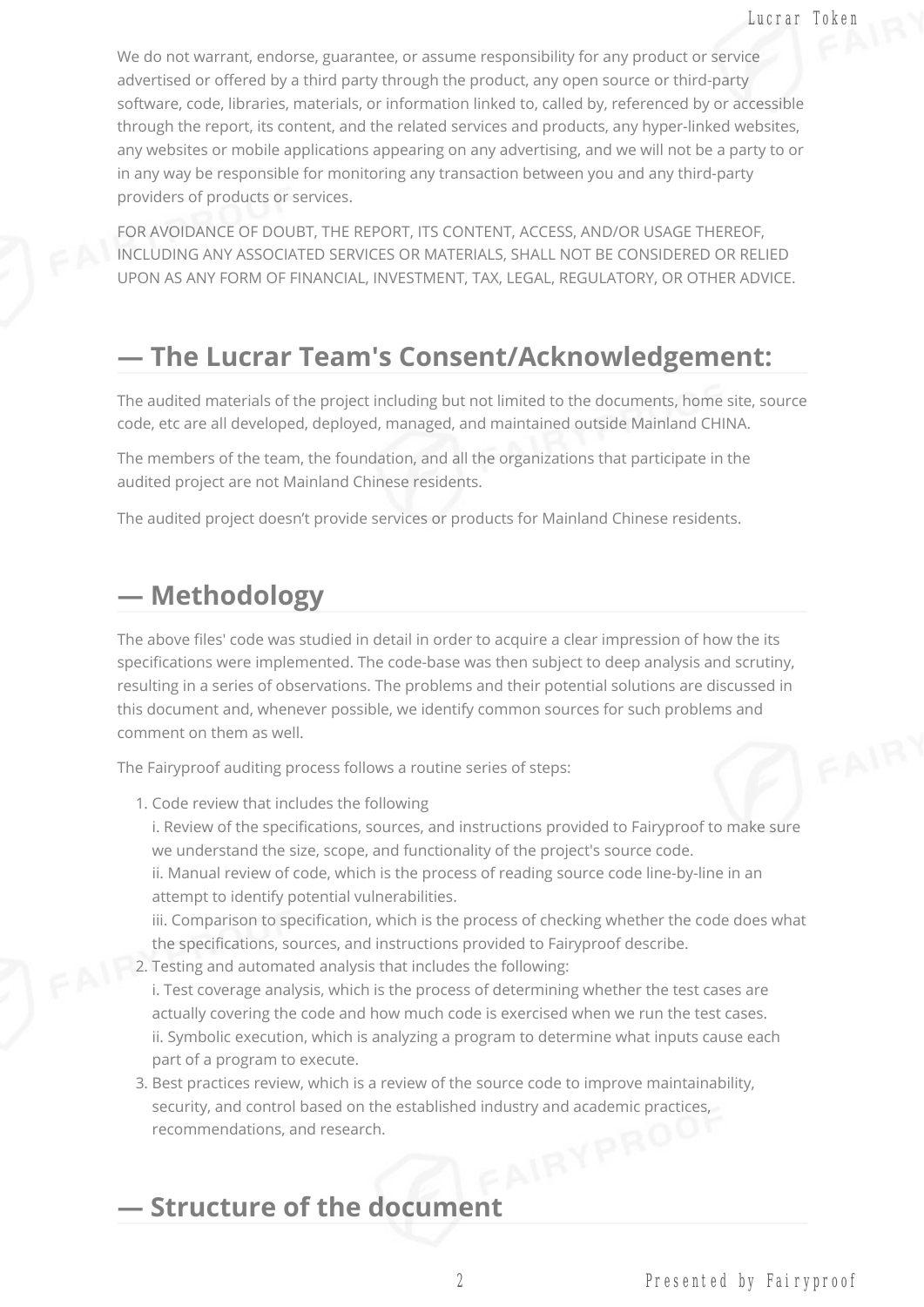We do not warrant, endorse, guarantee, or assume responsibility for any product or service advertised or offered by a third party through the product, any open source or third-party software, code, libraries, materials, or information linked to, called by, referenced by or accessible through the report, its content, and the related services and products, any hyper-linked websites, any websites or mobile applications appearing on any advertising, and we will not be a party to or in any way be responsible for monitoring any transaction between you and any third-party providers of products or services.

FOR AVOIDANCE OF DOUBT, THE REPORT, ITS CONTENT, ACCESS, AND/OR USAGE THEREOF, INCLUDING ANY ASSOCIATED SERVICES OR MATERIALS, SHALL NOT BE CONSIDERED OR RELIED UPON AS ANY FORM OF FINANCIAL, INVESTMENT, TAX, LEGAL, REGULATORY, OR OTHER ADVICE.

#### **— The Lucrar Team's Consent/Acknowledgement:**

The audited materials of the project including but not limited to the documents, home site, source code, etc are all developed, deployed, managed, and maintained outside Mainland CHINA.

The members of the team, the foundation, and all the organizations that participate in the audited project are not Mainland Chinese residents.

The audited project doesn't provide services or products for Mainland Chinese residents.

#### **— Methodology**

The above files' code was studied in detail in order to acquire a clear impression of how the its specifications were implemented. The code-base was then subject to deep analysis and scrutiny, resulting in a series of observations. The problems and their potential solutions are discussed in this document and, whenever possible, we identify common sources for such problems and comment on them as well.

The Fairyproof auditing process follows a routine series of steps:

1. Code review that includes the following

i. Review of the specifications, sources, and instructions provided to Fairyproof to make sure we understand the size, scope, and functionality of the project's source code. ii. Manual review of code, which is the process of reading source code line-by-line in an attempt to identify potential vulnerabilities.

iii. Comparison to specification, which is the process of checking whether the code does what the specifications, sources, and instructions provided to Fairyproof describe.

- 2. Testing and automated analysis that includes the following:
- i. Test coverage analysis, which is the process of determining whether the test cases are actually covering the code and how much code is exercised when we run the test cases. ii. Symbolic execution, which is analyzing a program to determine what inputs cause each part of a program to execute.
- 3. Best practices review, which is a review of the source code to improve maintainability, security, and control based on the established industry and academic practices,<br>recommendations, and research. recommendations, and research.

#### **— Structure of the document**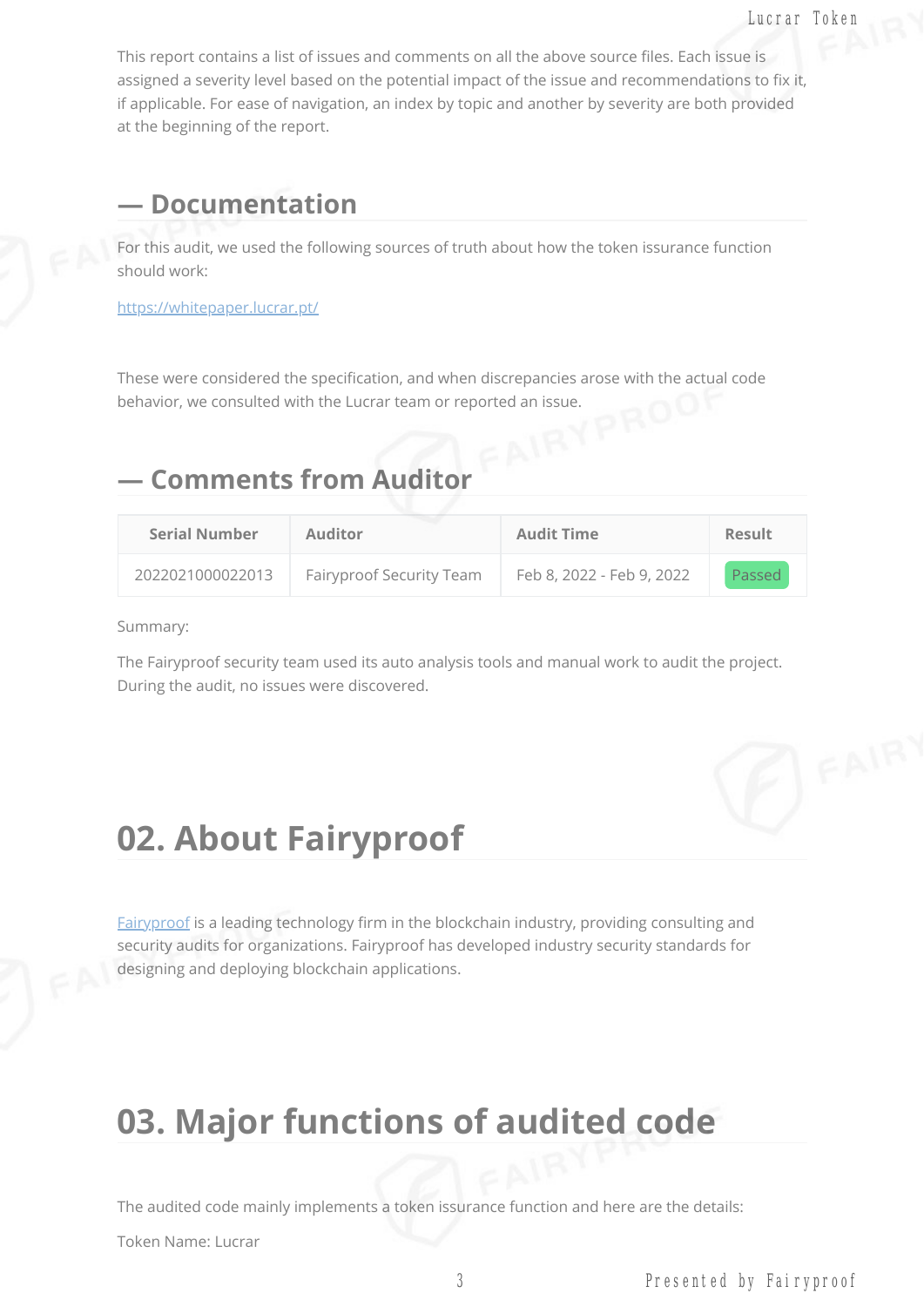This report contains a list of issues and comments on all the above source files. Each issue is assigned a severity level based on the potential impact of the issue and recommendations to fix it, if applicable. For ease of navigation, an index by topic and another by severity are both provided at the beginning of the report.

#### **— Documentation**

For this audit, we used the following sources of truth about how the token issurance function should work:

<https://whitepaper.lucrar.pt/>

These were considered the specification, and when discrepancies arose with the actual code behavior, we consulted with the Lucrar team or reported an issue.

#### **— Comments from Auditor**

| <b>Serial Number</b> | <b>Auditor</b>           | <b>Audit Time</b>         | <b>Result</b> |
|----------------------|--------------------------|---------------------------|---------------|
| 2022021000022013     | Fairyproof Security Team | Feb 8, 2022 - Feb 9, 2022 | Passed        |

Summary:

The Fairyproof security team used its auto analysis tools and manual work to audit the project. During the audit, no issues were discovered.

## **02. About Fairyproof**

[Fairyproof](https://www.fairyproof.com/) is a leading technology firm in the blockchain industry, providing consulting and security audits for organizations. Fairyproof has developed industry security standards for designing and deploying blockchain applications.

## **03. Major functions of audited code**

The audited code mainly implements a token issurance function and here are the details:

Token Name: Lucrar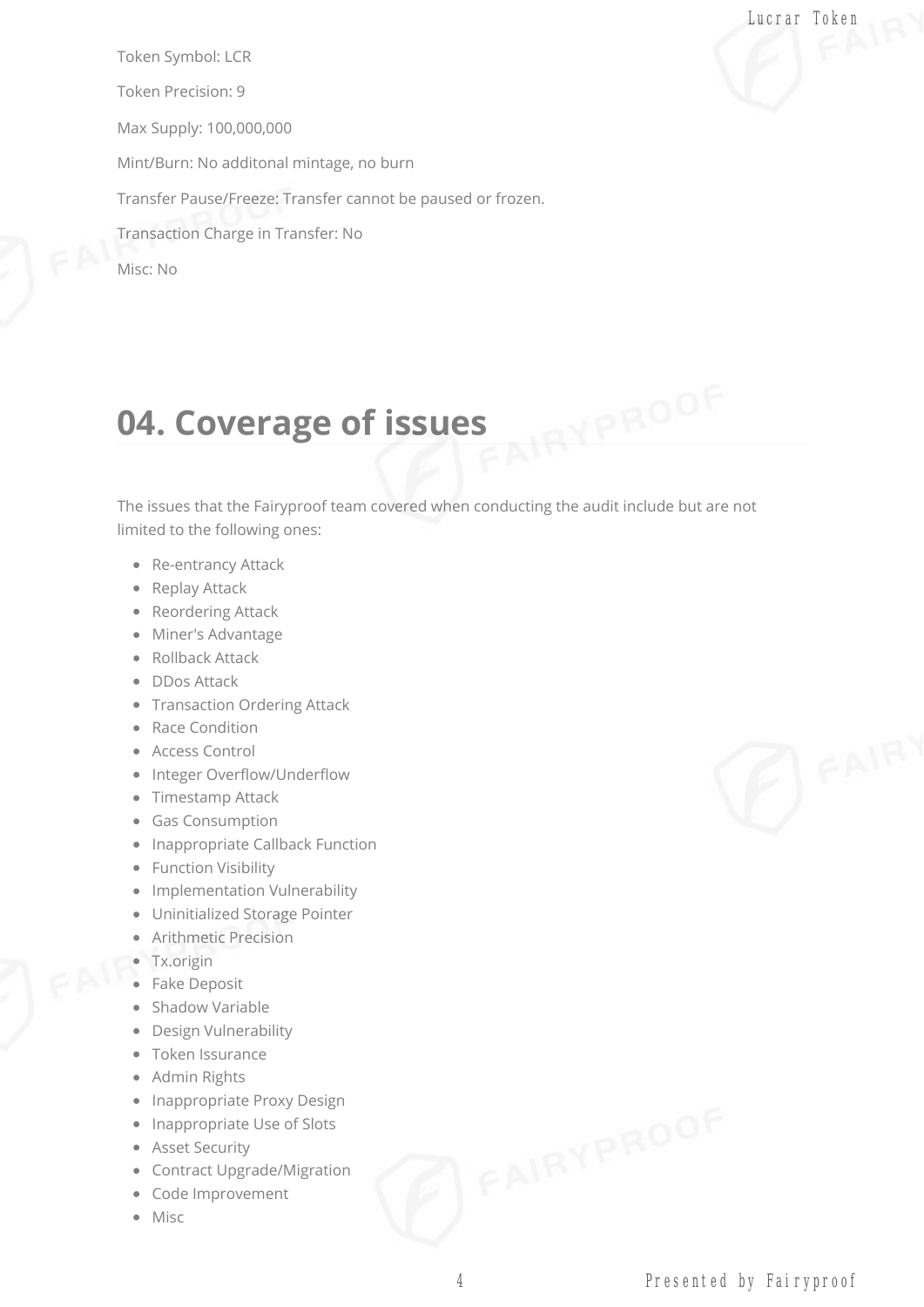Token Symbol: LCR Token Precision: 9 Max Supply: 100,000,000 Mint/Burn: No additonal mintage, no burn Transfer Pause/Freeze: Transfer cannot be paused or frozen. Transaction Charge in Transfer: No Misc: No

# **04. Coverage of issues**

The issues that the Fairyproof team covered when conducting the audit include but are not limited to the following ones:

- Re-entrancy Attack
- Replay Attack
- Reordering Attack
- Miner's Advantage
- Rollback Attack
- **DDos Attack**
- Transaction Ordering Attack
- Race Condition
- Access Control
- Integer Overflow/Underflow
- Timestamp Attack
- Gas Consumption
- Inappropriate Callback Function
- Function Visibility
- Implementation Vulnerability
- Uninitialized Storage Pointer
- Arithmetic Precision
- Tx.origin
- Fake Deposit
- Shadow Variable
- Design Vulnerability
- Token Issurance
- Admin Rights
- Inappropriate Proxy Design
- Inappropriate Use of Slots
- Asset Security
- Contract Upgrade/Migration
- Code Improvement
- Misc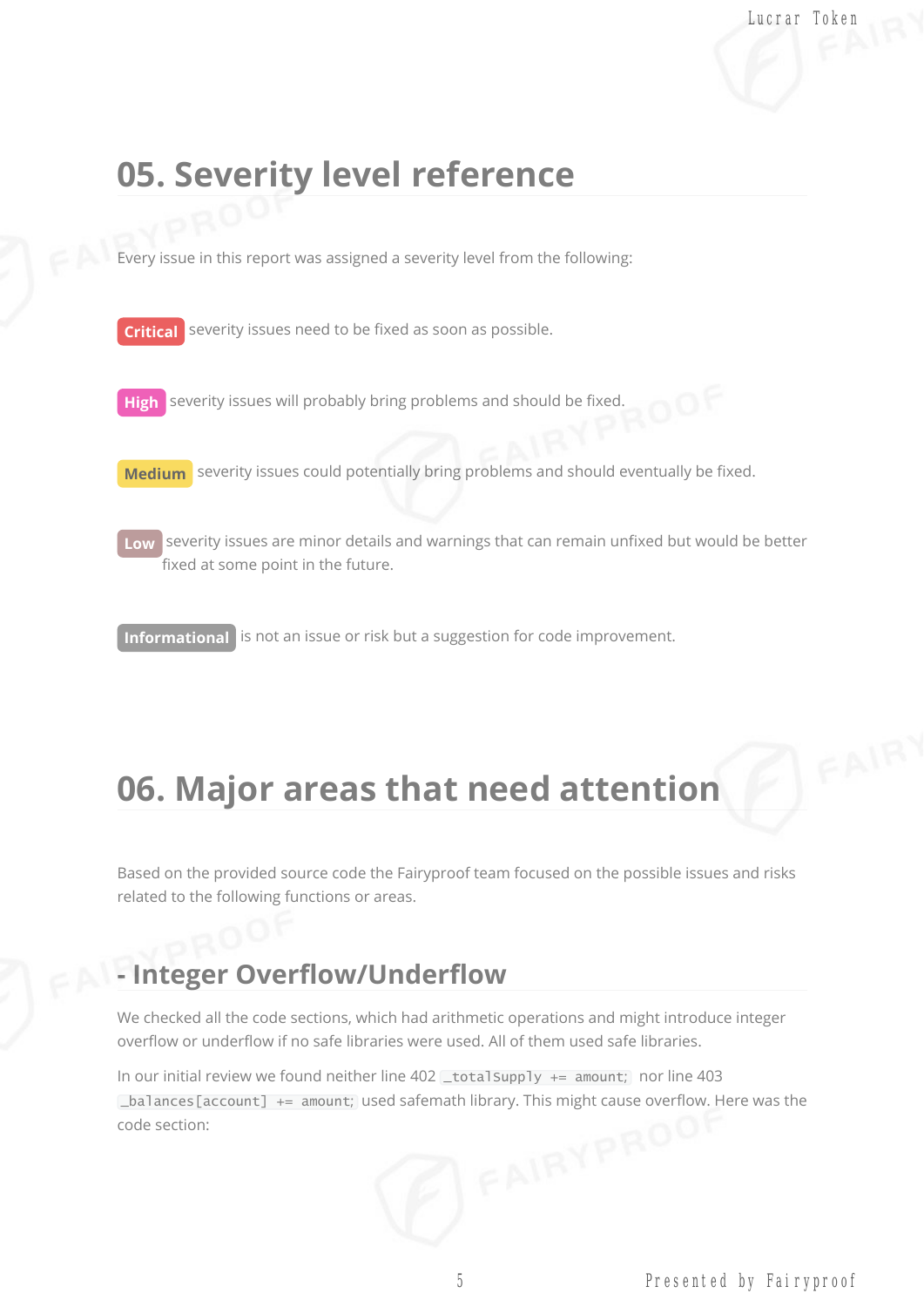### **05. Severity level reference**

Every issue in this report was assigned a severity level from the following:

**Critical** severity issues need to be fixed as soon as possible.

**High** severity issues will probably bring problems and should be fixed.

**Medium** severity issues could potentially bring problems and should eventually be fixed.

**Low** severity issues are minor details and warnings that can remain unfixed but would be better fixed at some point in the future.

**Informational** is not an issue or risk but a suggestion for code improvement.

# **06. Major areas that need attention**

Based on the provided source code the Fairyproof team focused on the possible issues and risks related to the following functions or areas.

#### **- Integer Overflow/Underflow**

We checked all the code sections, which had arithmetic operations and might introduce integer overflow or underflow if no safe libraries were used. All of them used safe libraries.

In our initial review we found neither line  $402$  \_totalSupply += amount; nor line  $403$ \_balances[account] += amount; used safemath library. This might cause overflow. Here was the code section: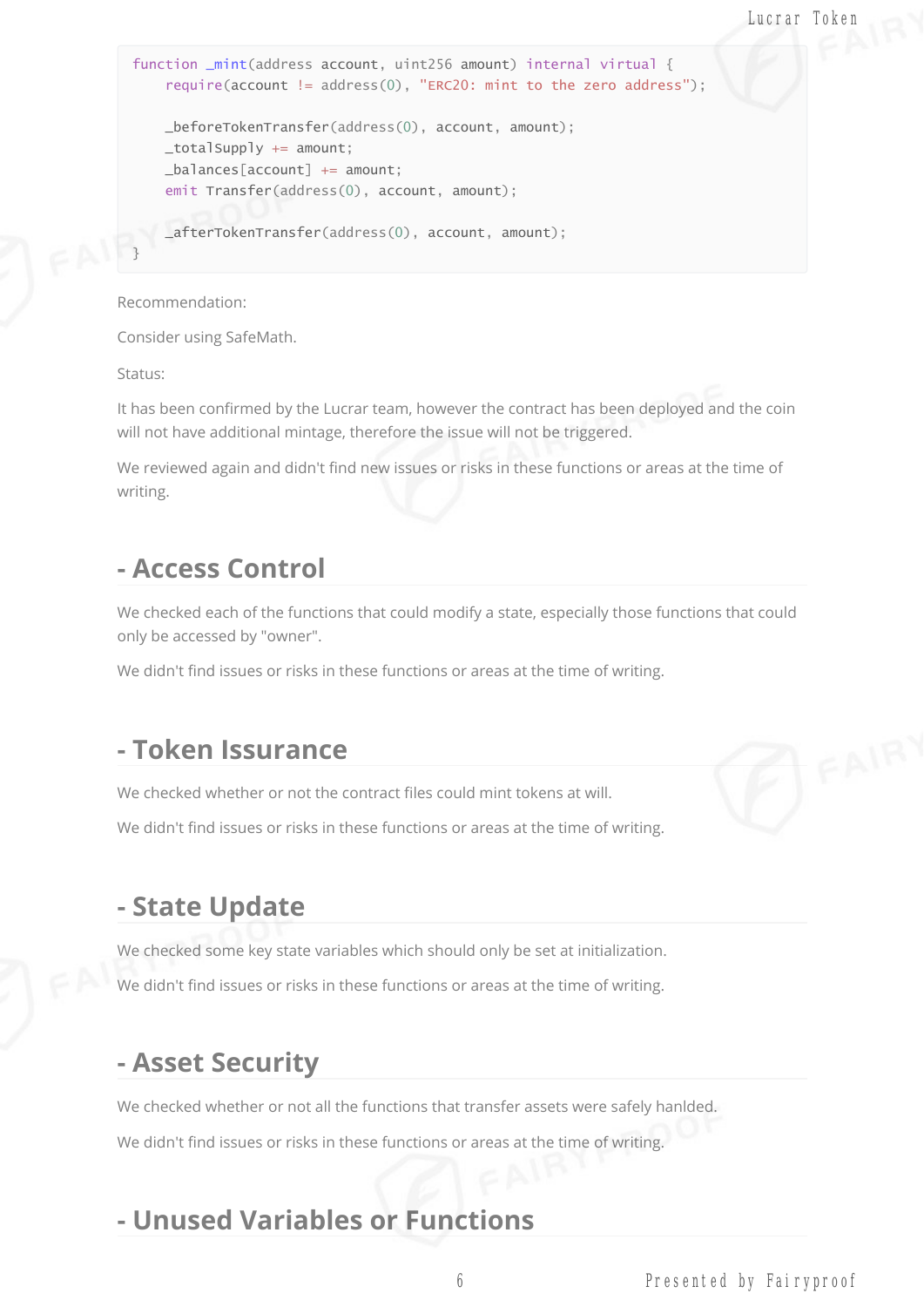```
Lucrar Token
```

```
function _mint(address account, uint256 amount) internal virtual {
    require(account != address(0), "ERC20: mint to the zero address");
   _beforeTokenTransfer(address(0), account, amount);
   \_totalSupply += amount;
   _balances[account] += amount;
    emit Transfer(address(0), account, amount);
   _afterTokenTransfer(address(0), account, amount);
}
```
Recommendation:

Consider using SafeMath.

Status:

It has been confirmed by the Lucrar team, however the contract has been deployed and the coin will not have additional mintage, therefore the issue will not be triggered.

We reviewed again and didn't find new issues or risks in these functions or areas at the time of writing.

#### **- Access Control**

We checked each of the functions that could modify a state, especially those functions that could only be accessed by "owner".

We didn't find issues or risks in these functions or areas at the time of writing.

#### **- Token Issurance**

We checked whether or not the contract files could mint tokens at will.

We didn't find issues or risks in these functions or areas at the time of writing.

#### **- State Update**

We checked some key state variables which should only be set at initialization.

We didn't find issues or risks in these functions or areas at the time of writing.

#### **- Asset Security**

We checked whether or not all the functions that transfer assets were safely hanlded.

We didn't find issues or risks in these functions or areas at the time of writing.

#### **- Unused Variables or Functions**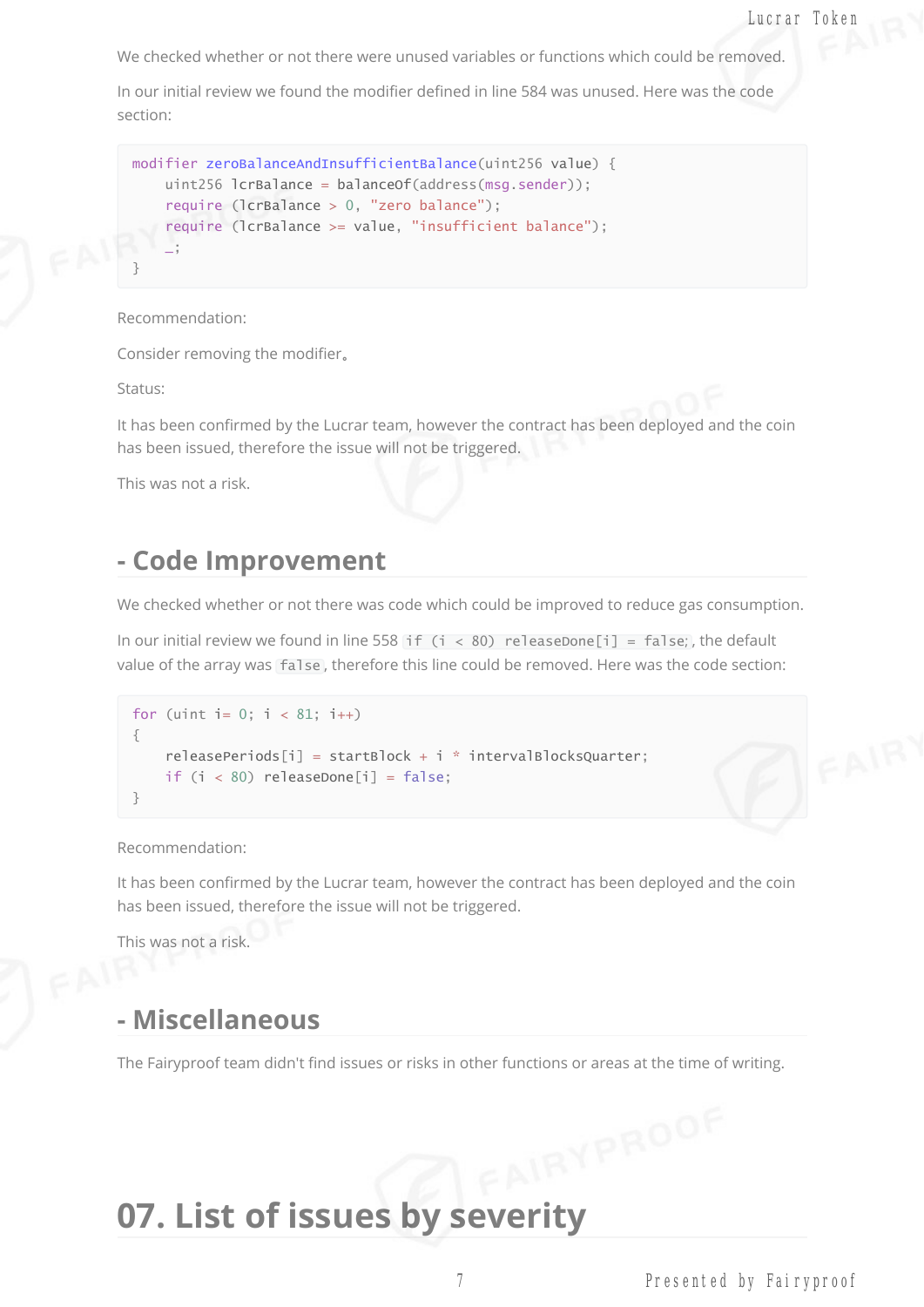We checked whether or not there were unused variables or functions which could be removed.

In our initial review we found the modifier defined in line 584 was unused. Here was the code section:

```
modifier zeroBalanceAndInsufficientBalance(uint256 value) {
    uint256 lcrBalance = balanceOf(address(msg.sender));
    require (lcrBalance > 0, "zero balance");
    require (lcrBalance >= value, "insufficient balance");
    \mathcal{L}}
```
#### Recommendation:

Consider removing the modifier。

Status:

It has been confirmed by the Lucrar team, however the contract has been deployed and the coin has been issued, therefore the issue will not be triggered.

This was not a risk.

#### **- Code Improvement**

We checked whether or not there was code which could be improved to reduce gas consumption.

In our initial review we found in line 558 if  $(i < 80)$  releaseDone[i] = false;, the default value of the array was false, therefore this line could be removed. Here was the code section:

```
for (uint i = 0; i < 81; i++){
    releasePeriods[i] = startBlock + i * intervalBlocksQuarter;if (i < 80) releaseDone[i] = false;
}
```
#### Recommendation:

It has been confirmed by the Lucrar team, however the contract has been deployed and the coin has been issued, therefore the issue will not be triggered.

This was not a risk.

#### **- Miscellaneous**

The Fairyproof team didn't find issues or risks in other functions or areas at the time of writing.

# **07. List of issues by severity**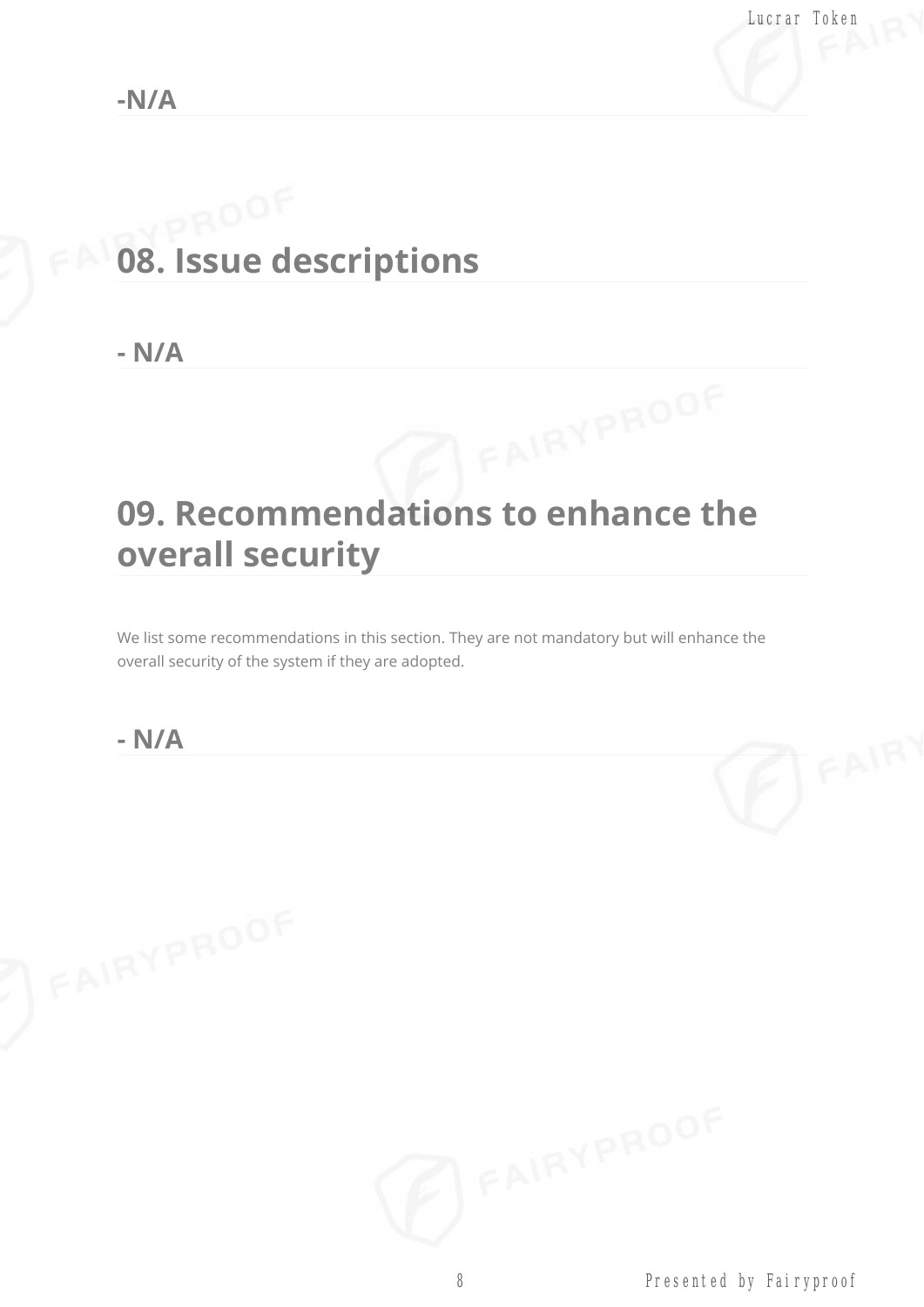# **08. Issue descriptions**

**- N/A**

# **09. Recommendations to enhance the overall security**

We list some recommendations in this section. They are not mandatory but will enhance the overall security of the system if they are adopted.

#### **- N/A**